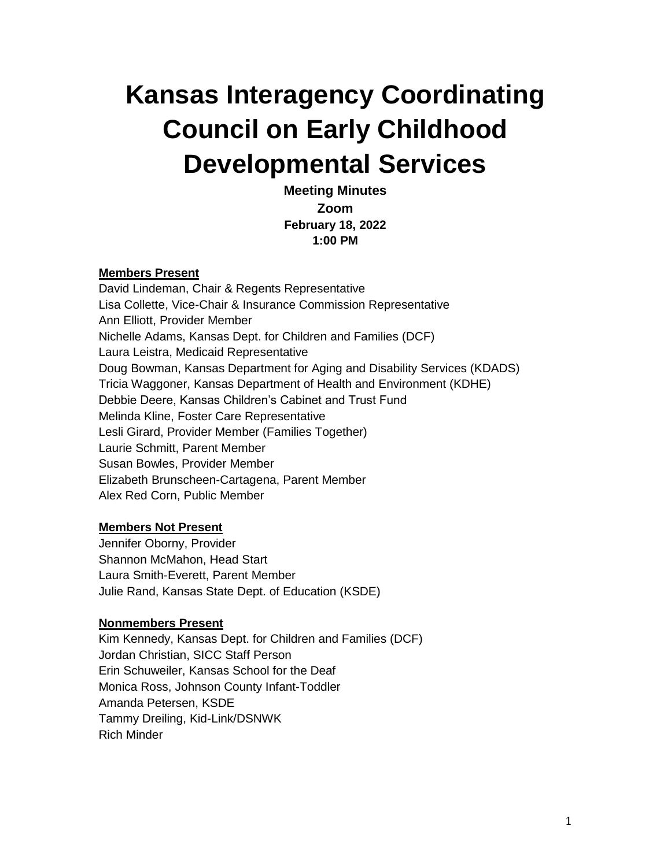# **Kansas Interagency Coordinating Council on Early Childhood Developmental Services**

**Meeting Minutes Zoom February 18, 2022 1:00 PM**

#### **Members Present**

David Lindeman, Chair & Regents Representative Lisa Collette, Vice-Chair & Insurance Commission Representative Ann Elliott, Provider Member Nichelle Adams, Kansas Dept. for Children and Families (DCF) Laura Leistra, Medicaid Representative Doug Bowman, Kansas Department for Aging and Disability Services (KDADS) Tricia Waggoner, Kansas Department of Health and Environment (KDHE) Debbie Deere, Kansas Children's Cabinet and Trust Fund Melinda Kline, Foster Care Representative Lesli Girard, Provider Member (Families Together) Laurie Schmitt, Parent Member Susan Bowles, Provider Member Elizabeth Brunscheen-Cartagena, Parent Member Alex Red Corn, Public Member

#### **Members Not Present**

Jennifer Oborny, Provider Shannon McMahon, Head Start Laura Smith-Everett, Parent Member Julie Rand, Kansas State Dept. of Education (KSDE)

#### **Nonmembers Present**

Kim Kennedy, Kansas Dept. for Children and Families (DCF) Jordan Christian, SICC Staff Person Erin Schuweiler, Kansas School for the Deaf Monica Ross, Johnson County Infant-Toddler Amanda Petersen, KSDE Tammy Dreiling, Kid-Link/DSNWK Rich Minder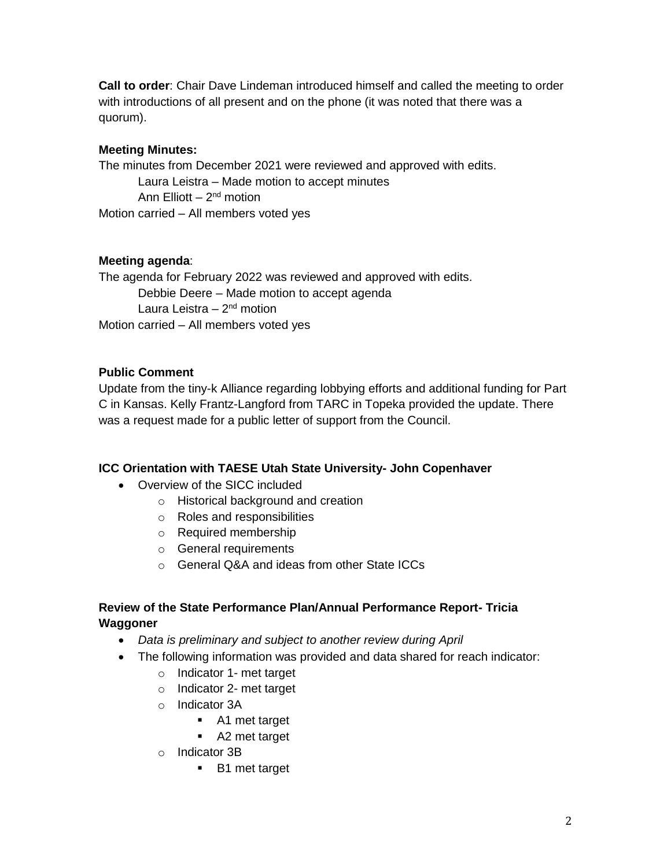**Call to order**: Chair Dave Lindeman introduced himself and called the meeting to order with introductions of all present and on the phone (it was noted that there was a quorum).

## **Meeting Minutes:**

The minutes from December 2021 were reviewed and approved with edits. Laura Leistra – Made motion to accept minutes Ann Elliott – 2<sup>nd</sup> motion Motion carried – All members voted yes

## **Meeting agenda**:

The agenda for February 2022 was reviewed and approved with edits. Debbie Deere – Made motion to accept agenda Laura Leistra – 2<sup>nd</sup> motion Motion carried – All members voted yes

## **Public Comment**

Update from the tiny-k Alliance regarding lobbying efforts and additional funding for Part C in Kansas. Kelly Frantz-Langford from TARC in Topeka provided the update. There was a request made for a public letter of support from the Council.

# **ICC Orientation with TAESE Utah State University- John Copenhaver**

- Overview of the SICC included
	- o Historical background and creation
	- o Roles and responsibilities
	- o Required membership
	- o General requirements
	- o General Q&A and ideas from other State ICCs

## **Review of the State Performance Plan/Annual Performance Report- Tricia Waggoner**

- *Data is preliminary and subject to another review during April*
- The following information was provided and data shared for reach indicator:
	- o Indicator 1- met target
	- o Indicator 2- met target
	- o Indicator 3A
		- A1 met target
		- A2 met target
	- o Indicator 3B
		- B1 met target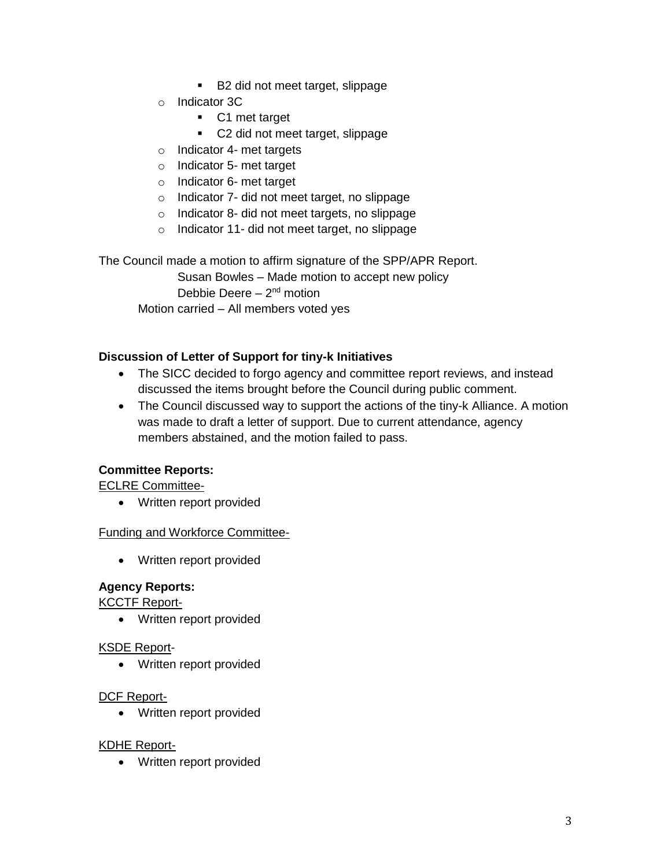- B2 did not meet target, slippage
- o Indicator 3C
	- C1 met target
	- C2 did not meet target, slippage
- o Indicator 4- met targets
- o Indicator 5- met target
- o Indicator 6- met target
- o Indicator 7- did not meet target, no slippage
- o Indicator 8- did not meet targets, no slippage
- o Indicator 11- did not meet target, no slippage

The Council made a motion to affirm signature of the SPP/APR Report.

Susan Bowles – Made motion to accept new policy Debbie Deere - 2<sup>nd</sup> motion Motion carried – All members voted yes

## **Discussion of Letter of Support for tiny-k Initiatives**

- The SICC decided to forgo agency and committee report reviews, and instead discussed the items brought before the Council during public comment.
- The Council discussed way to support the actions of the tiny-k Alliance. A motion was made to draft a letter of support. Due to current attendance, agency members abstained, and the motion failed to pass.

### **Committee Reports:**

ECLRE Committee-

• Written report provided

### Funding and Workforce Committee-

• Written report provided

### **Agency Reports:**

KCCTF Report-

• Written report provided

### KSDE Report-

• Written report provided

### DCF Report-

• Written report provided

### KDHE Report-

• Written report provided